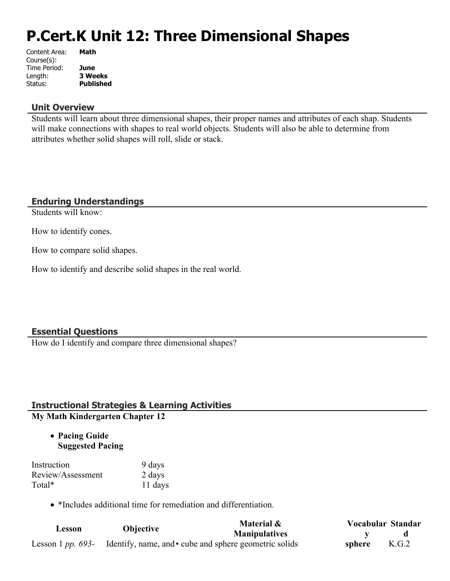# **P.Cert.K Unit 12: Three Dimensional Shapes**

| Content Area: | Math             |
|---------------|------------------|
| Course(s):    |                  |
| Time Period:  | June             |
| Length:       | <b>3 Weeks</b>   |
| Status:       | <b>Published</b> |
|               |                  |

#### **Unit Overview**

Students will learn about three dimensional shapes, their proper names and attributes of each shap. Students will make connections with shapes to real world objects. Students will also be able to determine from attributes whether solid shapes will roll, slide or stack.

#### **Enduring Understandings**

Students will know:

How to identify cones.

How to compare solid shapes.

How to identify and describe solid shapes in the real world.

#### **Essential Questions**

How do I identify and compare three dimensional shapes?

# **Instructional Strategies & Learning Activities**

**My Math Kindergarten Chapter 12**

 **Pacing Guide Suggested Pacing**

| Instruction       | 9 days  |
|-------------------|---------|
| Review/Assessment | 2 days  |
| Total*            | 11 days |

• \*Includes additional time for remediation and differentiation.

| Lesson                   | <b>Objective</b> | Material &                                             | Vocabular Standar |       |
|--------------------------|------------------|--------------------------------------------------------|-------------------|-------|
|                          |                  | <b>Manipulatives</b>                                   |                   |       |
| Lesson 1 <i>pp.</i> 693- |                  | Identify, name, and • cube and sphere geometric solids | sphere            | K.G.2 |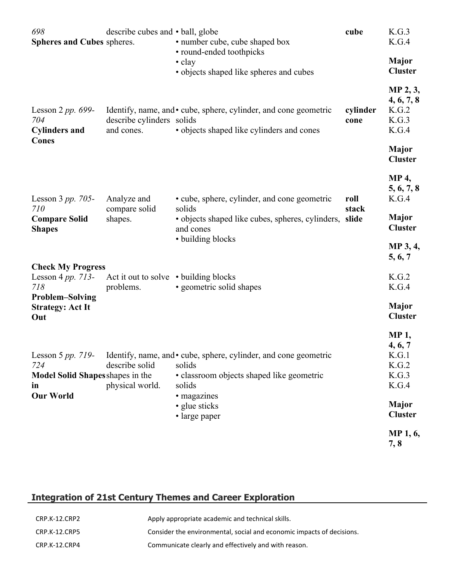| 698<br><b>Spheres and Cubes spheres.</b>                          | describe cubes and • ball, globe                   | • number cube, cube shaped box<br>• round-ended toothpicks                                                                                                                                           | cube             | K.G.3<br>K.G.4                                                                               |
|-------------------------------------------------------------------|----------------------------------------------------|------------------------------------------------------------------------------------------------------------------------------------------------------------------------------------------------------|------------------|----------------------------------------------------------------------------------------------|
|                                                                   |                                                    | $\cdot$ clay<br>• objects shaped like spheres and cubes                                                                                                                                              |                  | <b>Major</b><br><b>Cluster</b>                                                               |
| Lesson 2 pp. $699-$<br>704<br><b>Cylinders and</b>                | describe cylinders solids<br>and cones.            | Identify, name, and • cube, sphere, cylinder, and cone geometric<br>· objects shaped like cylinders and cones                                                                                        | cylinder<br>cone | MP 2, 3,<br>4, 6, 7, 8<br>K.G.2<br>K.G.3<br>K.G.4                                            |
| Cones                                                             |                                                    |                                                                                                                                                                                                      |                  | <b>Major</b><br><b>Cluster</b>                                                               |
| Lesson $3 pp. 705$ -                                              | Analyze and                                        | • cube, sphere, cylinder, and cone geometric                                                                                                                                                         | roll             | <b>MP 4,</b><br>5, 6, 7, 8<br>K.G.4                                                          |
| 710<br><b>Compare Solid</b><br><b>Shapes</b>                      | compare solid<br>shapes.                           | solids<br>· objects shaped like cubes, spheres, cylinders, slide<br>and cones                                                                                                                        | stack            | <b>Major</b><br><b>Cluster</b>                                                               |
|                                                                   |                                                    | · building blocks                                                                                                                                                                                    |                  | MP 3, 4,<br>5, 6, 7                                                                          |
| <b>Check My Progress</b><br>Lesson 4 pp. 713-<br>718              | Act it out to solve • building blocks<br>problems. | • geometric solid shapes                                                                                                                                                                             |                  | K.G.2<br>K.G.4                                                                               |
| <b>Problem-Solving</b><br><b>Strategy: Act It</b><br>Out          |                                                    |                                                                                                                                                                                                      |                  | <b>Major</b><br><b>Cluster</b>                                                               |
| 724<br>Model Solid Shapes shapes in the<br>in<br><b>Our World</b> | describe solid<br>physical world.                  | Lesson 5 pp. 719- Identify, name, and • cube, sphere, cylinder, and cone geometric<br>solids<br>· classroom objects shaped like geometric<br>solids<br>• magazines<br>• glue sticks<br>• large paper |                  | <b>MP1,</b><br>4, 6, 7<br>K.G.1<br>K.G.2<br>K.G.3<br>K.G.4<br><b>Major</b><br><b>Cluster</b> |
|                                                                   |                                                    |                                                                                                                                                                                                      |                  | MP 1, 6,<br>7,8                                                                              |

# **Integration of 21st Century Themes and Career Exploration**

| CRP.K-12.CRP2 | Apply appropriate academic and technical skills.                      |
|---------------|-----------------------------------------------------------------------|
| CRP.K-12.CRP5 | Consider the environmental, social and economic impacts of decisions. |
| CRP.K-12.CRP4 | Communicate clearly and effectively and with reason.                  |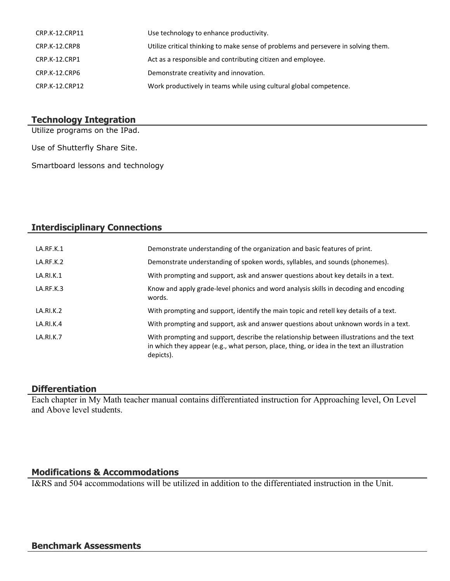| CRP.K-12.CRP11 | Use technology to enhance productivity.                                            |
|----------------|------------------------------------------------------------------------------------|
| CRP.K-12.CRP8  | Utilize critical thinking to make sense of problems and persevere in solving them. |
| CRP.K-12.CRP1  | Act as a responsible and contributing citizen and employee.                        |
| CRP.K-12.CRP6  | Demonstrate creativity and innovation.                                             |
| CRP.K-12.CRP12 | Work productively in teams while using cultural global competence.                 |

#### **Technology Integration**

Utilize programs on the IPad.

Use of Shutterfly Share Site.

Smartboard lessons and technology

## **Interdisciplinary Connections**

| LA.RF.K.1        | Demonstrate understanding of the organization and basic features of print.                                                                                                                          |
|------------------|-----------------------------------------------------------------------------------------------------------------------------------------------------------------------------------------------------|
| LA.RF.K.2        | Demonstrate understanding of spoken words, syllables, and sounds (phonemes).                                                                                                                        |
| LA.RI.K.1        | With prompting and support, ask and answer questions about key details in a text.                                                                                                                   |
| LA.RF.K.3        | Know and apply grade-level phonics and word analysis skills in decoding and encoding<br>words.                                                                                                      |
| LA.RI.K.2        | With prompting and support, identify the main topic and retell key details of a text.                                                                                                               |
| LA.RI.K.4        | With prompting and support, ask and answer questions about unknown words in a text.                                                                                                                 |
| <b>LA.RI.K.7</b> | With prompting and support, describe the relationship between illustrations and the text<br>in which they appear (e.g., what person, place, thing, or idea in the text an illustration<br>depicts). |

#### **Differentiation**

Each chapter in My Math teacher manual contains differentiated instruction for Approaching level, On Level and Above level students.

## **Modifications & Accommodations**

I&RS and 504 accommodations will be utilized in addition to the differentiated instruction in the Unit.